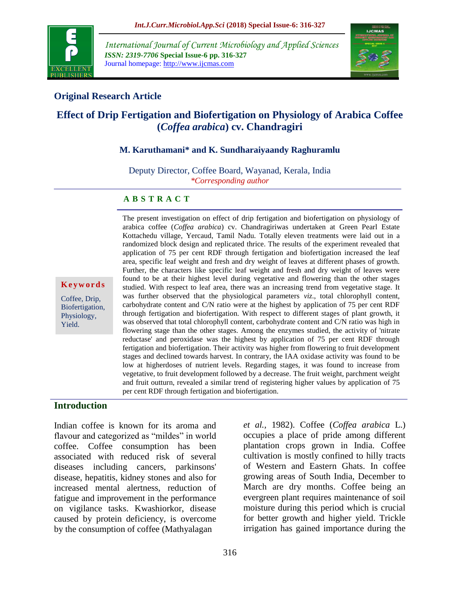

*International Journal of Current Microbiology and Applied Sciences ISSN: 2319-7706* **Special Issue-6 pp. 316-327** Journal homepage: http://www.ijcmas.com



## **Original Research Article**

# **Effect of Drip Fertigation and Biofertigation on Physiology of Arabica Coffee (***Coffea arabica***) cv. Chandragiri**

#### **M. Karuthamani\* and K. Sundharaiyaandy Raghuramlu**

Deputy Director, Coffee Board, Wayanad, Kerala, India *\*Corresponding author*

#### **A B S T R A C T**

**K e y w o r d s**

Coffee, Drip, Biofertigation, Physiology, Yield.

The present investigation on effect of drip fertigation and biofertigation on physiology of arabica coffee (*Coffea arabica*) cv. Chandragiriwas undertaken at Green Pearl Estate Kottachedu village, Yercaud, Tamil Nadu. Totally eleven treatments were laid out in a randomized block design and replicated thrice. The results of the experiment revealed that application of 75 per cent RDF through fertigation and biofertigation increased the leaf area, specific leaf weight and fresh and dry weight of leaves at different phases of growth. Further, the characters like specific leaf weight and fresh and dry weight of leaves were found to be at their highest level during vegetative and flowering than the other stages studied. With respect to leaf area, there was an increasing trend from vegetative stage. It was further observed that the physiological parameters *viz*., total chlorophyll content, carbohydrate content and C/N ratio were at the highest by application of 75 per cent RDF through fertigation and biofertigation. With respect to different stages of plant growth, it was observed that total chlorophyll content, carbohydrate content and C/N ratio was high in flowering stage than the other stages. Among the enzymes studied, the activity of 'nitrate reductase' and peroxidase was the highest by application of 75 per cent RDF through fertigation and biofertigation. Their activity was higher from flowering to fruit development stages and declined towards harvest. In contrary, the IAA oxidase activity was found to be low at higherdoses of nutrient levels. Regarding stages, it was found to increase from vegetative, to fruit development followed by a decrease. The fruit weight, parchment weight and fruit outturn, revealed a similar trend of registering higher values by application of 75 per cent RDF through fertigation and biofertigation.

#### **Introduction**

Indian coffee is known for its aroma and flavour and categorized as "mildes" in world coffee. Coffee consumption has been associated with reduced risk of several diseases including cancers, parkinsons' disease, hepatitis, kidney stones and also for increased mental alertness, reduction of fatigue and improvement in the performance on vigilance tasks. Kwashiorkor, disease caused by protein deficiency, is overcome by the consumption of coffee (Mathyalagan

*et al.,* 1982). Coffee (*Coffea arabica* L.) occupies a place of pride among different plantation crops grown in India. Coffee cultivation is mostly confined to hilly tracts of Western and Eastern Ghats. In coffee growing areas of South India, December to March are dry months. Coffee being an evergreen plant requires maintenance of soil moisture during this period which is crucial for better growth and higher yield. Trickle irrigation has gained importance during the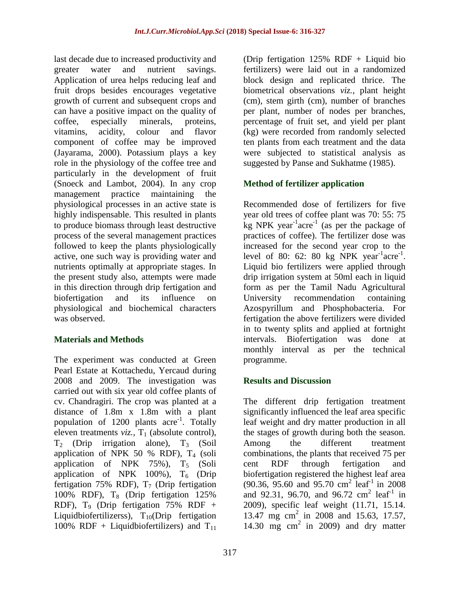last decade due to increased productivity and greater water and nutrient savings. Application of urea helps reducing leaf and fruit drops besides encourages vegetative growth of current and subsequent crops and can have a positive impact on the quality of coffee, especially minerals, proteins, vitamins, acidity, colour and flavor component of coffee may be improved (Jayarama, 2000). Potassium plays a key role in the physiology of the coffee tree and particularly in the development of fruit (Snoeck and Lambot, 2004). In any crop management practice maintaining the physiological processes in an active state is highly indispensable. This resulted in plants to produce biomass through least destructive process of the several management practices followed to keep the plants physiologically active, one such way is providing water and nutrients optimally at appropriate stages. In the present study also, attempts were made in this direction through drip fertigation and biofertigation and its influence on physiological and biochemical characters was observed.

## **Materials and Methods**

The experiment was conducted at Green Pearl Estate at Kottachedu, Yercaud during 2008 and 2009. The investigation was carried out with six year old coffee plants of cv. Chandragiri. The crop was planted at a distance of 1.8m x 1.8m with a plant population of 1200 plants acre<sup>-1</sup>. Totally eleven treatments  $viz.$ ,  $T_1$  (absolute control),  $T_2$  (Drip irrigation alone),  $T_3$  (Soil application of NPK 50 % RDF),  $T_4$  (soli application of NPK  $75\%$ ),  $T_5$  (Soli application of NPK 100%),  $T_6$  (Drip fertigation 75% RDF),  $T_7$  (Drip fertigation 100% RDF), T<sub>8</sub> (Drip fertigation 125% RDF),  $T_9$  (Drip fertigation 75% RDF + Liquidbiofertilizerss),  $T_{10}$ (Drip fertigation 100% RDF + Liquidbiofertilizers) and  $T_{11}$ 

(Drip fertigation 125% RDF + Liquid bio fertilizers) were laid out in a randomized block design and replicated thrice. The biometrical observations *viz.*, plant height (cm), stem girth (cm), number of branches per plant, number of nodes per branches, percentage of fruit set, and yield per plant (kg) were recorded from randomly selected ten plants from each treatment and the data were subjected to statistical analysis as suggested by Panse and Sukhatme (1985).

# **Method of fertilizer application**

Recommended dose of fertilizers for five year old trees of coffee plant was 70: 55: 75  $\log NPK$  year<sup>-1</sup> acre<sup>-1</sup> (as per the package of practices of coffee). The fertilizer dose was increased for the second year crop to the level of 80: 62: 80 kg NPK year<sup>-1</sup>acre<sup>-1</sup>. Liquid bio fertilizers were applied through drip irrigation system at 50ml each in liquid form as per the Tamil Nadu Agricultural University recommendation containing Azospyrillum and Phosphobacteria. For fertigation the above fertilizers were divided in to twenty splits and applied at fortnight intervals. Biofertigation was done at monthly interval as per the technical programme.

## **Results and Discussion**

The different drip fertigation treatment significantly influenced the leaf area specific leaf weight and dry matter production in all the stages of growth during both the season. Among the different treatment combinations, the plants that received 75 per cent RDF through fertigation and biofertigation registered the highest leaf area  $(90.36, 95.60 \text{ and } 95.70 \text{ cm}^2 \text{ leaf}^1 \text{ in } 2008)$ and 92.31, 96.70, and 96.72  $\text{cm}^2$  leaf<sup>1</sup> in 2009), specific leaf weight (11.71, 15.14. 13.47 mg cm<sup>2</sup> in 2008 and 15.63, 17.57, 14.30 mg  $\text{cm}^2$  in 2009) and dry matter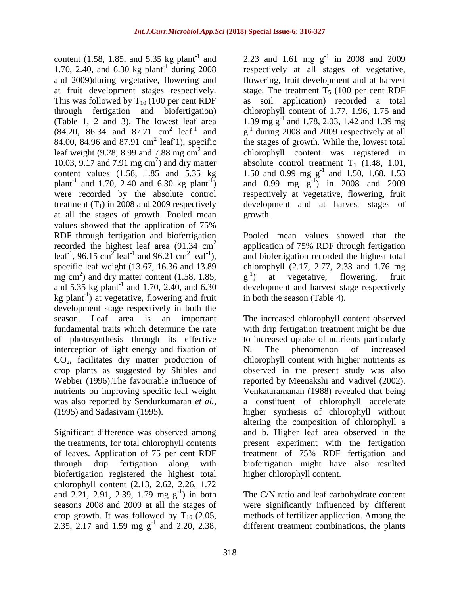content (1.58, 1.85, and 5.35 kg plant<sup>-1</sup> and 1.70, 2.40, and  $6.30 \text{ kg plant}^{-1}$  during  $2008$ and 2009)during vegetative, flowering and at fruit development stages respectively. This was followed by  $T_{10}$  (100 per cent RDF through fertigation and biofertigation) (Table 1, 2 and 3). The lowest leaf area  $(84.20, 86.34 \text{ and } 87.71 \text{ cm}^2 \text{ leaf}^1 \text{ and }$ 84.00, 84.96 and 87.91  $\text{cm}^2$  leaf 1), specific leaf weight (9.28, 8.99 and 7.88 mg  $\text{cm}^2$  and 10.03, 9.17 and 7.91 mg  $\text{cm}^2$ ) and dry matter content values (1.58, 1.85 and 5.35 kg plant<sup>-1</sup> and 1.70, 2.40 and 6.30 kg plant<sup>-1</sup>) were recorded by the absolute control treatment  $(T_1)$  in 2008 and 2009 respectively at all the stages of growth. Pooled mean values showed that the application of 75% RDF through fertigation and biofertigation recorded the highest leaf area  $(91.34 \text{ cm}^2)$ leaf<sup>-1</sup>, 96.15 cm<sup>2</sup> leaf<sup>-1</sup> and 96.21 cm<sup>2</sup> leaf<sup>-1</sup>), specific leaf weight (13.67, 16.36 and 13.89 mg cm 2 ) and dry matter content (1.58, 1.85, and  $5.35 \text{ kg plant}^{-1}$  and  $1.70, 2.40, \text{ and } 6.30$  $kg$  plant<sup>-1</sup>) at vegetative, flowering and fruit development stage respectively in both the season. Leaf area is an important fundamental traits which determine the rate of photosynthesis through its effective interception of light energy and fixation of CO2, facilitates dry matter production of crop plants as suggested by Shibles and Webber (1996).The favourable influence of nutrients on improving specific leaf weight was also reported by Sendurkumaran *et al.,* (1995) and Sadasivam (1995).

Significant difference was observed among the treatments, for total chlorophyll contents of leaves. Application of 75 per cent RDF through drip fertigation along with biofertigation registered the highest total chlorophyll content (2.13, 2.62, 2.26, 1.72 and 2.21, 2.91, 2.39, 1.79 mg  $g^{-1}$ ) in both seasons 2008 and 2009 at all the stages of crop growth. It was followed by  $T_{10}$  (2.05, 2.35, 2.17 and 1.59 mg  $g^{-1}$  and 2.20, 2.38,

2.23 and 1.61 mg  $g^{-1}$  in 2008 and 2009 respectively at all stages of vegetative, flowering, fruit development and at harvest stage. The treatment  $T_5$  (100 per cent RDF as soil application) recorded a total chlorophyll content of 1.77, 1.96, 1.75 and 1.39 mg g-1 and 1.78, 2.03, 1.42 and 1.39 mg g<sup>-1</sup> during 2008 and 2009 respectively at all the stages of growth. While the, lowest total chlorophyll content was registered in absolute control treatment  $T_1$  (1.48, 1.01, 1.50 and 0.99 mg g<sup>-1</sup> and 1.50, 1.68, 1.53 and 0.99 mg  $g^{-1}$ ) in 2008 and 2009 respectively at vegetative, flowering, fruit development and at harvest stages of growth.

Pooled mean values showed that the application of 75% RDF through fertigation and biofertigation recorded the highest total chlorophyll (2.17, 2.77, 2.33 and 1.76 mg  $g^{-1}$ ) at vegetative, flowering, fruit development and harvest stage respectively in both the season (Table 4).

The increased chlorophyll content observed with drip fertigation treatment might be due to increased uptake of nutrients particularly N. The phenomenon of increased chlorophyll content with higher nutrients as observed in the present study was also reported by Meenakshi and Vadivel (2002). Venkataramanan (1988) revealed that being a constituent of chlorophyll accelerate higher synthesis of chlorophyll without altering the composition of chlorophyll a and b. Higher leaf area observed in the present experiment with the fertigation treatment of 75% RDF fertigation and biofertigation might have also resulted higher chlorophyll content.

The C/N ratio and leaf carbohydrate content were significantly influenced by different methods of fertilizer application. Among the different treatment combinations, the plants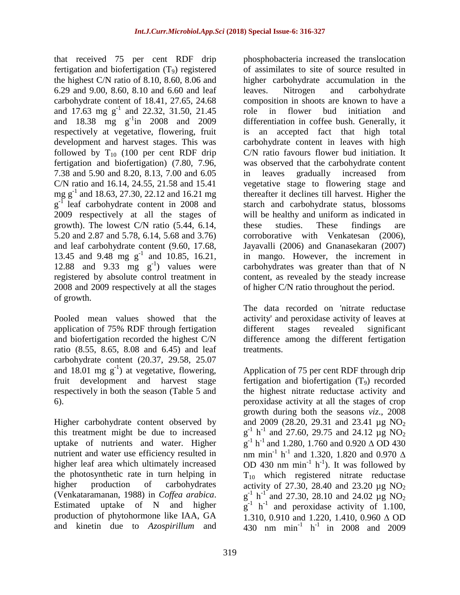that received 75 per cent RDF drip fertigation and biofertigation  $(T_9)$  registered the highest C/N ratio of 8.10, 8.60, 8.06 and 6.29 and 9.00, 8.60, 8.10 and 6.60 and leaf carbohydrate content of 18.41, 27.65, 24.68 and  $17.63 \text{ mg g}^{-1}$  and  $22.32, 31.50, 21.45$ and  $18.38$  mg  $g^{-1}$ in 2008 and 2009 respectively at vegetative, flowering, fruit development and harvest stages. This was followed by  $T_{10}$  (100 per cent RDF drip fertigation and biofertigation) (7.80, 7.96, 7.38 and 5.90 and 8.20, 8.13, 7.00 and 6.05 C/N ratio and 16.14, 24.55, 21.58 and 15.41 mg g<sup>-1</sup> and 18.63, 27.30, 22.12 and 16.21 mg g<sup>-1</sup> leaf carbohydrate content in 2008 and 2009 respectively at all the stages of growth). The lowest C/N ratio (5.44, 6.14, 5.20 and 2.87 and 5.78, 6.14, 5.68 and 3.76) and leaf carbohydrate content (9.60, 17.68, 13.45 and 9.48 mg  $g^{-1}$  and 10.85, 16.21, 12.88 and  $9.33 \text{ mg g}^{-1}$  values were registered by absolute control treatment in 2008 and 2009 respectively at all the stages of growth.

Pooled mean values showed that the application of 75% RDF through fertigation and biofertigation recorded the highest C/N ratio (8.55, 8.65, 8.08 and 6.45) and leaf carbohydrate content (20.37, 29.58, 25.07 and 18.01 mg  $g^{-1}$ ) at vegetative, flowering, fruit development and harvest stage respectively in both the season (Table 5 and 6).

Higher carbohydrate content observed by this treatment might be due to increased uptake of nutrients and water. Higher nutrient and water use efficiency resulted in higher leaf area which ultimately increased the photosynthetic rate in turn helping in higher production of carbohydrates (Venkataramanan, 1988) in *Coffea arabica*. Estimated uptake of N and higher production of phytohormone like IAA, GA and kinetin due to *Azospirillum* and

phosphobacteria increased the translocation of assimilates to site of source resulted in higher carbohydrate accumulation in the leaves. Nitrogen and carbohydrate composition in shoots are known to have a role in flower bud initiation and differentiation in coffee bush. Generally, it is an accepted fact that high total carbohydrate content in leaves with high C/N ratio favours flower bud initiation. It was observed that the carbohydrate content in leaves gradually increased from vegetative stage to flowering stage and thereafter it declines till harvest. Higher the starch and carbohydrate status, blossoms will be healthy and uniform as indicated in these studies. These findings are corroborative with Venkatesan (2006), Jayavalli (2006) and Gnanasekaran (2007) in mango. However, the increment in carbohydrates was greater than that of N content, as revealed by the steady increase of higher C/N ratio throughout the period.

The data recorded on 'nitrate reductase activity' and peroxidase activity of leaves at different stages revealed significant difference among the different fertigation treatments.

Application of 75 per cent RDF through drip fertigation and biofertigation  $(T<sub>9</sub>)$  recorded the highest nitrate reductase activity and peroxidase activity at all the stages of crop growth during both the seasons *viz*., 2008 and 2009 (28.20, 29.31 and 23.41  $\mu$ g NO<sub>2</sub>  $g^{-1}$  h<sup>-1</sup> and 27.60, 29.75 and 24.12 µg NO<sub>2</sub>  $g^{-1}$  h<sup>-1</sup> and 1.280, 1.760 and 0.920  $\triangle$  OD 430 nm min<sup>-1</sup> h<sup>-1</sup> and 1.320, 1.820 and 0.970  $\Delta$ OD 430 nm  $min^{-1} h^{-1}$ ). It was followed by  $T_{10}$  which registered nitrate reductase activity of 27.30, 28.40 and 23.20  $\mu$ g NO<sub>2</sub>  $g^{-1}$  h<sup>-1</sup> and 27.30, 28.10 and 24.02 µg NO<sub>2</sub>  $g^{-1}$  h<sup>-1</sup> and peroxidase activity of 1.100, 1.310, 0.910 and 1.220, 1.410, 0.960  $\triangle$  OD 430 nm min<sup>-1</sup> h<sup>-1</sup> in 2008 and 2009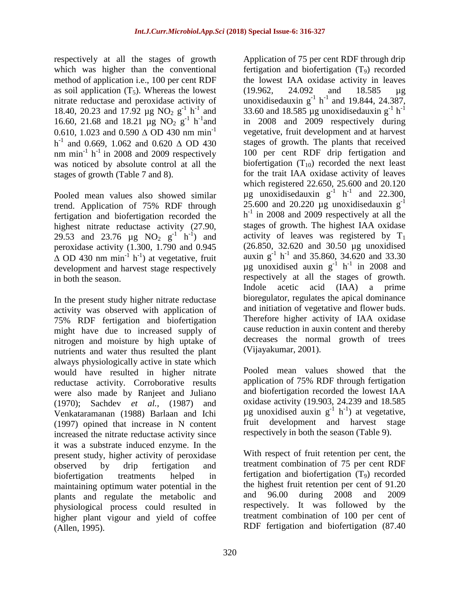respectively at all the stages of growth which was higher than the conventional method of application i.e., 100 per cent RDF as soil application  $(T_5)$ . Whereas the lowest nitrate reductase and peroxidase activity of 18.40, 20.23 and 17.92  $\mu$ g NO<sub>2</sub> g<sup>-1</sup> h<sup>-1</sup> and 16.60, 21.68 and 18.21  $\mu$ g NO<sub>2</sub> g<sup>-1</sup> h<sup>-1</sup> and 0.610, 1.023 and 0.590  $\triangle$  OD 430 nm min<sup>-1</sup>  $h^{-1}$  and 0.669, 1.062 and 0.620  $\triangle$  OD 430 nm min<sup>-1</sup> h<sup>-1</sup> in 2008 and 2009 respectively was noticed by absolute control at all the stages of growth (Table 7 and 8).

Pooled mean values also showed similar trend. Application of 75% RDF through fertigation and biofertigation recorded the highest nitrate reductase activity (27.90, 29.53 and 23.76  $\mu$ g NO<sub>2</sub> g<sup>-1</sup> h<sup>-1</sup>) and peroxidase activity (1.300, 1.790 and 0.945  $\Delta$  OD 430 nm min<sup>-1</sup> h<sup>-1</sup>) at vegetative, fruit development and harvest stage respectively in both the season.

In the present study higher nitrate reductase activity was observed with application of 75% RDF fertigation and biofertigation might have due to increased supply of nitrogen and moisture by high uptake of nutrients and water thus resulted the plant always physiologically active in state which would have resulted in higher nitrate reductase activity. Corroborative results were also made by Ranjeet and Juliano (1970); Sachdev *et al.,* (1987) and Venkataramanan (1988) Barlaan and Ichi (1997) opined that increase in N content increased the nitrate reductase activity since it was a substrate induced enzyme. In the present study, higher activity of peroxidase observed by drip fertigation and biofertigation treatments helped in maintaining optimum water potential in the plants and regulate the metabolic and physiological process could resulted in higher plant vigour and yield of coffee (Allen, 1995).

Application of 75 per cent RDF through drip fertigation and biofertigation  $(T<sub>9</sub>)$  recorded the lowest IAA oxidase activity in leaves (19.962, 24.092 and 18.585 µg unoxidisedauxin  $g^{-1}$  h<sup>-1</sup> and 19.844, 24.387, 33.60 and 18.585 µg unoxidisedauxin  $g^{-1}$  h<sup>-1</sup> in 2008 and 2009 respectively during vegetative, fruit development and at harvest stages of growth. The plants that received 100 per cent RDF drip fertigation and biofertigation  $(T_{10})$  recorded the next least for the trait IAA oxidase activity of leaves which registered 22.650, 25.600 and 20.120  $\mu$ g unoxidisedauxin g<sup>-1</sup> h<sup>-1</sup> and 22.300, 25.600 and 20.220  $\mu$ g unoxidisedauxin g<sup>-1</sup> h<sup>-1</sup> in 2008 and 2009 respectively at all the stages of growth. The highest IAA oxidase activity of leaves was registered by  $T_1$ (26.850, 32.620 and 30.50 µg unoxidised auxin  $g^{-1}$  h<sup>-1</sup> and 35.860, 34.620 and 33.30  $\mu$ g unoxidised auxin g<sup>-1</sup> h<sup>-1</sup> in 2008 and respectively at all the stages of growth. Indole acetic acid (IAA) a prime bioregulator, regulates the apical dominance and initiation of vegetative and flower buds. Therefore higher activity of IAA oxidase cause reduction in auxin content and thereby decreases the normal growth of trees (Vijayakumar, 2001).

Pooled mean values showed that the application of 75% RDF through fertigation and biofertigation recorded the lowest IAA oxidase activity (19.903, 24.239 and 18.585  $\mu$ g unoxidised auxin g<sup>-1</sup> h<sup>-1</sup>) at vegetative, fruit development and harvest stage respectively in both the season (Table 9).

With respect of fruit retention per cent, the treatment combination of 75 per cent RDF fertigation and biofertigation  $(T_9)$  recorded the highest fruit retention per cent of 91.20 and 96.00 during 2008 and 2009 respectively. It was followed by the treatment combination of 100 per cent of RDF fertigation and biofertigation (87.40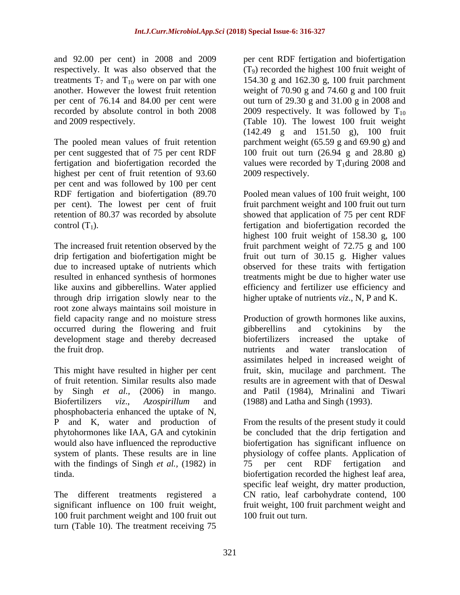and 92.00 per cent) in 2008 and 2009 respectively. It was also observed that the treatments  $T_7$  and  $T_{10}$  were on par with one another. However the lowest fruit retention per cent of 76.14 and 84.00 per cent were recorded by absolute control in both 2008 and 2009 respectively.

The pooled mean values of fruit retention per cent suggested that of 75 per cent RDF fertigation and biofertigation recorded the highest per cent of fruit retention of 93.60 per cent and was followed by 100 per cent RDF fertigation and biofertigation (89.70 per cent). The lowest per cent of fruit retention of 80.37 was recorded by absolute control  $(T_1)$ .

The increased fruit retention observed by the drip fertigation and biofertigation might be due to increased uptake of nutrients which resulted in enhanced synthesis of hormones like auxins and gibberellins. Water applied through drip irrigation slowly near to the root zone always maintains soil moisture in field capacity range and no moisture stress occurred during the flowering and fruit development stage and thereby decreased the fruit drop.

This might have resulted in higher per cent of fruit retention. Similar results also made by Singh *et al.,* (2006) in mango. Biofertilizers *viz*., *Azospirillum* and phosphobacteria enhanced the uptake of N, P and K, water and production of phytohormones like IAA, GA and cytokinin would also have influenced the reproductive system of plants. These results are in line with the findings of Singh *et al.,* (1982) in tinda.

The different treatments registered a significant influence on 100 fruit weight, 100 fruit parchment weight and 100 fruit out turn (Table 10). The treatment receiving 75 per cent RDF fertigation and biofertigation  $(T<sub>9</sub>)$  recorded the highest 100 fruit weight of 154.30 g and 162.30 g, 100 fruit parchment weight of 70.90 g and 74.60 g and 100 fruit out turn of 29.30 g and 31.00 g in 2008 and 2009 respectively. It was followed by  $T_{10}$ (Table 10). The lowest 100 fruit weight (142.49 g and 151.50 g), 100 fruit parchment weight (65.59 g and 69.90 g) and 100 fruit out turn (26.94 g and 28.80 g) values were recorded by  $T_1$ during 2008 and 2009 respectively.

Pooled mean values of 100 fruit weight, 100 fruit parchment weight and 100 fruit out turn showed that application of 75 per cent RDF fertigation and biofertigation recorded the highest 100 fruit weight of 158.30 g, 100 fruit parchment weight of 72.75 g and 100 fruit out turn of 30.15 g. Higher values observed for these traits with fertigation treatments might be due to higher water use efficiency and fertilizer use efficiency and higher uptake of nutrients *viz*., N, P and K.

Production of growth hormones like auxins, gibberellins and cytokinins by the biofertilizers increased the uptake of nutrients and water translocation of assimilates helped in increased weight of fruit, skin, mucilage and parchment. The results are in agreement with that of Deswal and Patil (1984), Mrinalini and Tiwari (1988) and Latha and Singh (1993).

From the results of the present study it could be concluded that the drip fertigation and biofertigation has significant influence on physiology of coffee plants. Application of 75 per cent RDF fertigation and biofertigation recorded the highest leaf area, specific leaf weight, dry matter production, CN ratio, leaf carbohydrate contend, 100 fruit weight, 100 fruit parchment weight and 100 fruit out turn.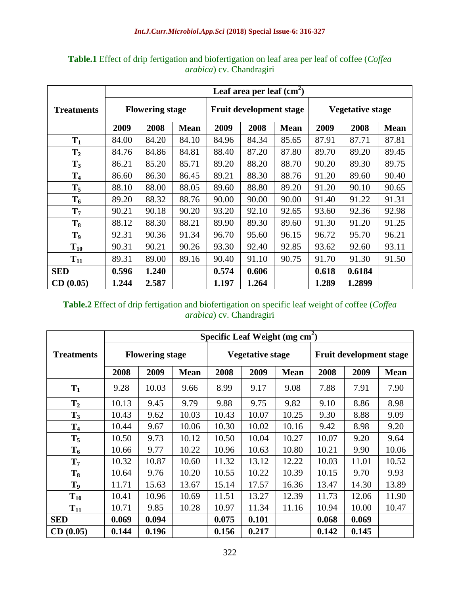|                   |                |                        |             |       | Leaf area per leaf $(cm2)$ |             |                         |        |             |  |
|-------------------|----------------|------------------------|-------------|-------|----------------------------|-------------|-------------------------|--------|-------------|--|
| <b>Treatments</b> |                | <b>Flowering stage</b> |             |       | Fruit development stage    |             | <b>Vegetative stage</b> |        |             |  |
|                   | 2009           | 2008                   | <b>Mean</b> | 2009  | 2008                       | <b>Mean</b> | 2009                    | 2008   | <b>Mean</b> |  |
| $T_1$             | 84.00          | 84.20                  | 84.10       | 84.96 | 84.34                      | 85.65       | 87.91                   | 87.71  | 87.81       |  |
| T <sub>2</sub>    | 84.76          | 84.86                  | 84.81       | 88.40 | 87.20                      | 87.80       | 89.70                   | 89.20  | 89.45       |  |
| $T_3$             | 86.21          | 85.20                  | 85.71       | 89.20 | 88.20                      | 88.70       | 90.20                   | 89.30  | 89.75       |  |
| T <sub>4</sub>    | 86.60          | 86.30                  | 86.45       | 89.21 | 88.30                      | 88.76       | 91.20                   | 89.60  | 90.40       |  |
| $T_5$             | 88.10          | 88.00                  | 88.05       | 89.60 | 88.80                      | 89.20       | 91.20                   | 90.10  | 90.65       |  |
| $T_6$             | 89.20          | 88.32                  | 88.76       | 90.00 | 90.00                      | 90.00       | 91.40                   | 91.22  | 91.31       |  |
| $T_7$             | 90.21          | 90.18                  | 90.20       | 93.20 | 92.10                      | 92.65       | 93.60                   | 92.36  | 92.98       |  |
| $T_8$             | 88.12          | 88.30                  | 88.21       | 89.90 | 89.30                      | 89.60       | 91.30                   | 91.20  | 91.25       |  |
| T <sub>9</sub>    | 92.31          | 90.36                  | 91.34       | 96.70 | 95.60                      | 96.15       | 96.72                   | 95.70  | 96.21       |  |
| $T_{10}$          | 90.31          | 90.21                  | 90.26       | 93.30 | 92.40                      | 92.85       | 93.62                   | 92.60  | 93.11       |  |
| $T_{11}$          | 89.31          | 89.00                  | 89.16       | 90.40 | 91.10                      | 90.75       | 91.70                   | 91.30  | 91.50       |  |
| <b>SED</b>        | 0.596<br>1.240 |                        | 0.574       | 0.606 |                            | 0.618       | 0.6184                  |        |             |  |
| CD(0.05)          | 1.244          | 2.587                  |             | 1.197 | 1.264                      |             | 1.289                   | 1.2899 |             |  |

**Table.1** Effect of drip fertigation and biofertigation on leaf area per leaf of coffee (*Coffea arabica*) cv. Chandragiri

## **Table.2** Effect of drip fertigation and biofertigation on specific leaf weight of coffee (*Coffea arabica*) cv. Chandragiri

|                   |                |                        |             |       |                         | Specific Leaf Weight ( $mg \text{ cm}^2$ ) |                         |       |             |  |
|-------------------|----------------|------------------------|-------------|-------|-------------------------|--------------------------------------------|-------------------------|-------|-------------|--|
| <b>Treatments</b> |                | <b>Flowering stage</b> |             |       | <b>Vegetative stage</b> |                                            | Fruit development stage |       |             |  |
|                   | 2008           | 2009                   | <b>Mean</b> | 2008  | 2009                    | <b>Mean</b>                                | 2008                    | 2009  | <b>Mean</b> |  |
| $T_1$             | 9.28           | 10.03                  | 9.66        | 8.99  | 9.17                    | 9.08                                       | 7.88                    | 7.91  | 7.90        |  |
| T <sub>2</sub>    | 10.13          | 9.45                   | 9.79        | 9.88  | 9.75                    | 9.82                                       | 9.10                    | 8.86  | 8.98        |  |
| $T_3$             | 10.43          | 9.62                   | 10.03       | 10.43 | 10.07                   | 10.25                                      | 9.30                    | 8.88  | 9.09        |  |
| T <sub>4</sub>    | 10.44          | 9.67                   | 10.06       | 10.30 | 10.02                   | 10.16                                      | 9.42                    | 8.98  | 9.20        |  |
| $T_5$             | 10.50          | 9.73                   | 10.12       | 10.50 | 10.04                   | 10.27                                      | 10.07                   | 9.20  | 9.64        |  |
| $T_6$             | 10.66          | 9.77                   | 10.22       | 10.96 | 10.63                   | 10.80                                      | 10.21                   | 9.90  | 10.06       |  |
| $T_7$             | 10.32          | 10.87                  | 10.60       | 11.32 | 13.12                   | 12.22                                      | 10.03                   | 11.01 | 10.52       |  |
| $T_8$             | 10.64          | 9.76                   | 10.20       | 10.55 | 10.22                   | 10.39                                      | 10.15                   | 9.70  | 9.93        |  |
| T <sub>9</sub>    | 11.71          | 15.63                  | 13.67       | 15.14 | 17.57                   | 16.36                                      | 13.47                   | 14.30 | 13.89       |  |
| $T_{10}$          | 10.41          | 10.96                  | 10.69       | 11.51 | 13.27                   | 12.39                                      | 11.73                   | 12.06 | 11.90       |  |
| $T_{11}$          | 9.85<br>10.71  |                        | 10.28       | 10.97 | 11.34                   | 11.16                                      | 10.94                   | 10.00 | 10.47       |  |
| <b>SED</b>        | 0.069<br>0.094 |                        |             | 0.075 | 0.101                   |                                            | 0.068                   | 0.069 |             |  |
| CD(0.05)          | 0.144          | 0.196                  |             | 0.156 | 0.217                   |                                            | 0.142                   | 0.145 |             |  |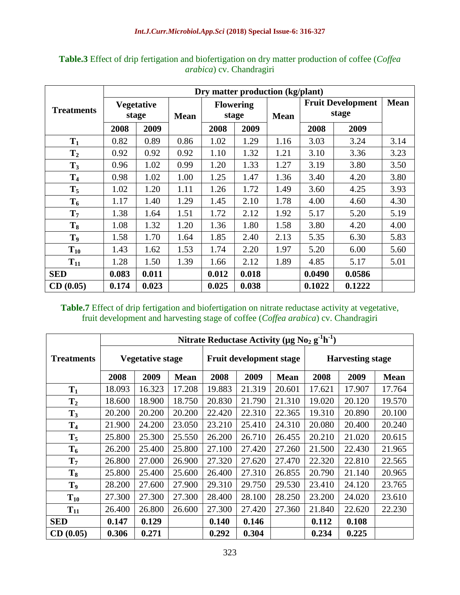|                   |       |                   |             |       |                  | Dry matter production (kg/plant) |        |                                   |             |
|-------------------|-------|-------------------|-------------|-------|------------------|----------------------------------|--------|-----------------------------------|-------------|
| <b>Treatments</b> |       | <b>Vegetative</b> |             |       | <b>Flowering</b> |                                  |        | <b>Fruit Development</b><br>stage | <b>Mean</b> |
|                   |       | stage             | <b>Mean</b> |       | stage            | <b>Mean</b>                      |        |                                   |             |
|                   | 2008  | 2009              |             | 2008  | 2009             |                                  | 2008   | 2009                              |             |
| $T_1$             | 0.82  | 0.89              | 0.86        | 1.02  | 1.29             | 1.16                             | 3.03   | 3.24                              | 3.14        |
| T <sub>2</sub>    | 0.92  | 0.92              | 0.92        | 1.10  | 1.32             | 1.21                             | 3.10   | 3.36                              | 3.23        |
| $T_3$             | 0.96  | 1.02              | 0.99        | 1.20  | 1.33             | 1.27                             | 3.19   | 3.80                              | 3.50        |
| T <sub>4</sub>    | 0.98  | 1.02              | 1.00        | 1.25  | 1.47             | 1.36                             | 3.40   | 4.20                              | 3.80        |
| $T_5$             | 1.02  | 1.20              | 1.11        | 1.26  | 1.72             | 1.49                             | 3.60   | 4.25                              | 3.93        |
| $T_6$             | 1.17  | 1.40              | 1.29        | 1.45  | 2.10             | 1.78                             | 4.00   | 4.60                              | 4.30        |
| $T_7$             | 1.38  | 1.64              | 1.51        | 1.72  | 2.12             | 1.92                             | 5.17   | 5.20                              | 5.19        |
| $T_8$             | 1.08  | 1.32              | 1.20        | 1.36  | 1.80             | 1.58                             | 3.80   | 4.20                              | 4.00        |
| T <sub>9</sub>    | 1.58  | 1.70              | 1.64        | 1.85  | 2.40             | 2.13                             | 5.35   | 6.30                              | 5.83        |
| $T_{10}$          | 1.43  | 1.62              | 1.53        | 1.74  | 2.20             | 1.97                             | 5.20   | 6.00                              | 5.60        |
| $T_{11}$          | 1.28  | 1.50              | 1.39        | 1.66  | 2.12             | 1.89                             | 4.85   | 5.17                              | 5.01        |
| <b>SED</b>        | 0.083 | 0.011             |             | 0.012 | 0.018            |                                  | 0.0490 | 0.0586                            |             |
| CD(0.05)          | 0.174 | 0.023             |             | 0.025 | 0.038            |                                  | 0.1022 | 0.1222                            |             |

**Table.3** Effect of drip fertigation and biofertigation on dry matter production of coffee (*Coffea arabica*) cv. Chandragiri

**Table.7** Effect of drip fertigation and biofertigation on nitrate reductase activity at vegetative, fruit development and harvesting stage of coffee (*Coffea arabica*) cv. Chandragiri

|                   |        |                         |             | Nitrate Reductase Activity ( $\mu$ g No <sub>2</sub> g <sup>-1</sup> h <sup>-1</sup> ) |                                |             |                         |        |             |  |
|-------------------|--------|-------------------------|-------------|----------------------------------------------------------------------------------------|--------------------------------|-------------|-------------------------|--------|-------------|--|
| <b>Treatments</b> |        | <b>Vegetative stage</b> |             |                                                                                        | <b>Fruit development stage</b> |             | <b>Harvesting stage</b> |        |             |  |
|                   | 2008   | 2009                    | <b>Mean</b> | 2008                                                                                   | 2009                           | <b>Mean</b> | 2008                    | 2009   | <b>Mean</b> |  |
| $T_1$             | 18.093 | 16.323                  | 17.208      | 19.883                                                                                 | 21.319                         | 20.601      | 17.621                  | 17.907 | 17.764      |  |
| $T_2$             | 18.600 | 18.900                  | 18.750      | 20.830                                                                                 | 21.790                         | 21.310      | 19.020                  | 20.120 | 19.570      |  |
| $T_3$             | 20.200 | 20.200                  | 20.200      | 22.420                                                                                 | 22.310                         | 22.365      | 19.310                  | 20.890 | 20.100      |  |
| T <sub>4</sub>    | 21.900 | 24.200                  | 23.050      | 23.210                                                                                 | 25.410                         | 24.310      | 20.080                  | 20.400 | 20.240      |  |
| $T_5$             | 25.800 | 25.300                  | 25.550      | 26.200                                                                                 | 26.710                         | 26.455      | 20.210                  | 21.020 | 20.615      |  |
| $T_6$             | 26.200 | 25.400                  | 25.800      | 27.100                                                                                 | 27.420                         | 27.260      | 21.500                  | 22.430 | 21.965      |  |
| $T_7$             | 26.800 | 27.000                  | 26.900      | 27.320                                                                                 | 27.620                         | 27.470      | 22.320                  | 22.810 | 22.565      |  |
| $T_8$             | 25.800 | 25.400                  | 25.600      | 26.400                                                                                 | 27.310                         | 26.855      | 20.790                  | 21.140 | 20.965      |  |
| T9                | 28.200 | 27.600                  | 27.900      | 29.310                                                                                 | 29.750                         | 29.530      | 23.410                  | 24.120 | 23.765      |  |
| $T_{10}$          | 27.300 | 27.300                  | 27.300      | 28.400                                                                                 | 28.100                         | 28.250      | 23.200                  | 24.020 | 23.610      |  |
| $T_{11}$          | 26.400 | 26.800                  | 26.600      | 27.300                                                                                 | 27.420                         | 27.360      | 21.840                  | 22.620 | 22.230      |  |
| <b>SED</b>        | 0.147  | 0.129                   |             | 0.140                                                                                  | 0.146                          |             | 0.112                   | 0.108  |             |  |
| CD(0.05)          | 0.306  | 0.271                   |             | 0.292                                                                                  | 0.304                          |             | 0.234                   | 0.225  |             |  |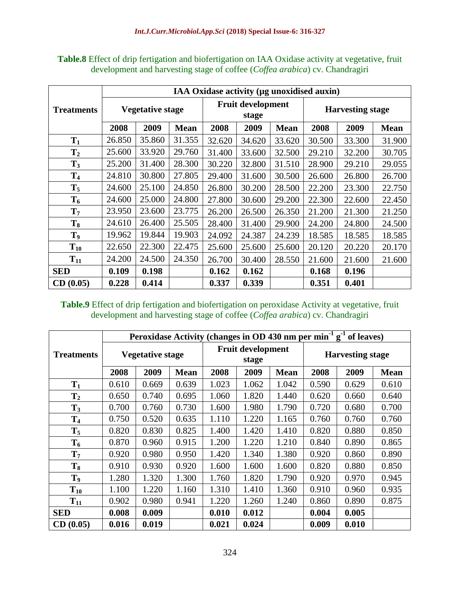| <b>Table.8</b> Effect of drip fertigation and biofertigation on IAA Oxidase activity at vegetative, fruit |
|-----------------------------------------------------------------------------------------------------------|
| development and harvesting stage of coffee ( <i>Coffea arabica</i> ) cv. Chandragiri                      |

|                   |                |                         |             |        |                                   |             | IAA Oxidase activity (µg unoxidised auxin) |        |             |  |
|-------------------|----------------|-------------------------|-------------|--------|-----------------------------------|-------------|--------------------------------------------|--------|-------------|--|
| <b>Treatments</b> |                | <b>Vegetative stage</b> |             |        | <b>Fruit development</b><br>stage |             | <b>Harvesting stage</b>                    |        |             |  |
|                   | 2008           | 2009                    | <b>Mean</b> | 2008   | 2009                              | <b>Mean</b> | 2008                                       | 2009   | <b>Mean</b> |  |
| $T_1$             | 26.850         | 35.860                  | 31.355      | 32.620 | 34.620                            | 33.620      | 30.500                                     | 33.300 | 31.900      |  |
| T <sub>2</sub>    | 25.600         | 33.920                  | 29.760      | 31.400 | 33.600                            | 32.500      | 29.210                                     | 32.200 | 30.705      |  |
| $T_3$             | 25.200         | 31.400                  | 28.300      | 30.220 | 32.800                            | 31.510      | 28.900                                     | 29.210 | 29.055      |  |
| T <sub>4</sub>    | 24.810         | 30.800                  | 27.805      | 29.400 | 31.600                            | 30.500      | 26.600                                     | 26.800 | 26.700      |  |
| $T_5$             | 24.600         | 25.100                  | 24.850      | 26.800 | 30.200                            | 28.500      | 22.200                                     | 23.300 | 22.750      |  |
| $T_6$             | 24.600         | 25.000                  | 24.800      | 27.800 | 30.600                            | 29.200      | 22.300                                     | 22.600 | 22.450      |  |
| $T_7$             | 23.950         | 23.600                  | 23.775      | 26.200 | 26.500                            | 26.350      | 21.200                                     | 21.300 | 21.250      |  |
| $T_8$             | 24.610         | 26.400                  | 25.505      | 28.400 | 31.400                            | 29.900      | 24.200                                     | 24.800 | 24.500      |  |
| T <sub>9</sub>    | 19.962         | 19.844                  | 19.903      | 24.092 | 24.387                            | 24.239      | 18.585                                     | 18.585 | 18.585      |  |
| $T_{10}$          | 22.650         | 22.300                  | 22.475      | 25.600 | 25.600                            | 25.600      | 20.120                                     | 20.220 | 20.170      |  |
| $T_{11}$          | 24.200         | 24.500                  | 24.350      | 26.700 | 30.400                            | 28.550      | 21.600                                     | 21.600 | 21.600      |  |
| <b>SED</b>        | 0.109<br>0.198 |                         | 0.162       | 0.162  |                                   | 0.168       | 0.196                                      |        |             |  |
| CD(0.05)          | 0.228          | 0.414                   |             | 0.337  | 0.339                             |             | 0.351                                      | 0.401  |             |  |

### **Table.9** Effect of drip fertigation and biofertigation on peroxidase Activity at vegetative, fruit development and harvesting stage of coffee (*Coffea arabica*) cv. Chandragiri

|                   |                |                         |             |       |                                   |             |                         | Peroxidase Activity (changes in OD 430 nm per min <sup>-1</sup> $g-1$ of leaves) |             |  |
|-------------------|----------------|-------------------------|-------------|-------|-----------------------------------|-------------|-------------------------|----------------------------------------------------------------------------------|-------------|--|
| <b>Treatments</b> |                | <b>Vegetative stage</b> |             |       | <b>Fruit development</b><br>stage |             | <b>Harvesting stage</b> |                                                                                  |             |  |
|                   | 2008           | 2009                    | <b>Mean</b> | 2008  | 2009                              | <b>Mean</b> | 2008                    | 2009                                                                             | <b>Mean</b> |  |
| $T_1$             | 0.610          | 0.669                   | 0.639       | 1.023 | 1.062                             | 1.042       | 0.590                   | 0.629                                                                            | 0.610       |  |
| $\mathbf{T}_2$    | 0.650          | 0.740                   | 0.695       | 1.060 | 1.820                             | 1.440       | 0.620                   | 0.660                                                                            | 0.640       |  |
| $T_3$             | 0.700          | 0.760                   | 0.730       | 1.600 | 1.980                             | 1.790       | 0.720                   | 0.680                                                                            | 0.700       |  |
| T <sub>4</sub>    | 0.750          | 0.520                   | 0.635       | 1.110 | 1.220                             | 1.165       | 0.760                   | 0.760                                                                            | 0.760       |  |
| $T_5$             | 0.820          | 0.830                   | 0.825       | 1.400 | 1.420                             | 1.410       | 0.820                   | 0.880                                                                            | 0.850       |  |
| $T_6$             | 0.870          | 0.960                   | 0.915       | 1.200 | 1.220                             | 1.210       | 0.840                   | 0.890                                                                            | 0.865       |  |
| $\mathbf{T}_7$    | 0.920          | 0.980                   | 0.950       | 1.420 | 1.340                             | 1.380       | 0.920                   | 0.860                                                                            | 0.890       |  |
| $T_8$             | 0.910          | 0.930                   | 0.920       | 1.600 | 1.600                             | 1.600       | 0.820                   | 0.880                                                                            | 0.850       |  |
| T <sub>9</sub>    | 1.280          | 1.320                   | 1.300       | 1.760 | 1.820                             | 1.790       | 0.920                   | 0.970                                                                            | 0.945       |  |
| $T_{10}$          | 1.100          | 1.220                   | 1.160       | 1.310 | 1.410                             | 1.360       | 0.910                   | 0.960                                                                            | 0.935       |  |
| $T_{11}$          | 0.902          | 0.980                   | 0.941       | 1.220 | 1.260                             | 1.240       | 0.860                   | 0.890                                                                            | 0.875       |  |
| <b>SED</b>        | 0.008<br>0.009 |                         | 0.010       | 0.012 |                                   | 0.004       | 0.005                   |                                                                                  |             |  |
| CD(0.05)          | 0.016          | 0.019                   |             | 0.021 | 0.024                             |             | 0.009                   | 0.010                                                                            |             |  |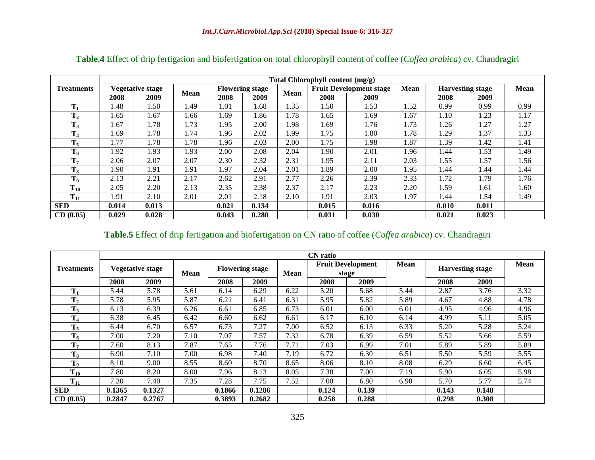|                   |       |                         |             |       |                        |             | Total Chlorophyll content (mg/g) |                                |             |       |                         |             |
|-------------------|-------|-------------------------|-------------|-------|------------------------|-------------|----------------------------------|--------------------------------|-------------|-------|-------------------------|-------------|
| <b>Treatments</b> |       | <b>Vegetative stage</b> |             |       | <b>Flowering stage</b> | <b>Mean</b> |                                  | <b>Fruit Development stage</b> | <b>Mean</b> |       | <b>Harvesting stage</b> | <b>Mean</b> |
|                   | 2008  | 2009                    | <b>Mean</b> | 2008  | 2009                   |             | 2008                             | 2009                           |             | 2008  | 2009                    |             |
| т                 | 1.48  | 1.50                    | .49         | 1.01  | 1.68                   | 1.35        | 1.50                             | 1.53                           | 1.52        | 0.99  | 0.99                    | 0.99        |
| T <sub>2</sub>    | 1.65  | 1.67                    | .66         | 1.69  | 1.86                   | 1.78        | 1.65                             | 1.69                           | 1.67        | 1.10  | 1.23                    | 1.17        |
| $\mathbf{T}_3$    | 1.67  | 1.78                    | 1.73        | 1.95  | 2.00                   | 1.98        | 1.69                             | 1.76                           | 1.73        | 1.26  | 1.27                    | 1.27        |
| $T_4$             | 1.69  | 1.78                    | .74         | 1.96  | 2.02                   | 1.99        | 1.75                             | 1.80                           | 1.78        | 1.29  | 1.37                    | 1.33        |
| $T_5$             | 1.77  | 1.78                    | 1.78        | 1.96  | 2.03                   | 2.00        | 1.75                             | 1.98                           | 1.87        | l.39  | 1.42                    | 1.41        |
| $T_6$             | 1.92  | 1.93                    | .93         | 2.00  | 2.08                   | 2.04        | 1.90                             | 2.01                           | 1.96        | 1.44  | 1.53                    | 1.49        |
| T <sub>7</sub>    | 2.06  | 2.07                    | 2.07        | 2.30  | 2.32                   | 2.31        | 1.95                             | 2.11                           | 2.03        | .55   | l.57                    | 1.56        |
| $T_8$             | 1.90  | 1.91                    | .91         | 1.97  | 2.04                   | 2.01        | 1.89                             | 2.00                           | 1.95        | 1.44  | 1.44                    | 1.44        |
| T <sub>9</sub>    | 2.13  | 2.21                    | 2.17        | 2.62  | 2.91                   | 2.77        | 2.26                             | 2.39                           | 2.33        | 1.72  | 1.79                    | 1.76        |
| $T_{10}$          | 2.05  | 2.20                    | 2.13        | 2.35  | 2.38                   | 2.37        | 2.17                             | 2.23                           | 2.20        | l.59  | 1.61                    | 1.60        |
| $T_{11}$          | 1.91  | 2.10                    | 2.01        | 2.01  | 2.18                   | 2.10        | 1.91                             | 2.03                           | 1.97        | l.44  | 1.54                    | 1.49        |
| <b>SED</b>        | 0.014 | 0.013                   |             | 0.021 | 0.134                  |             | 0.015                            | 0.016                          |             | 0.010 | 0.011                   |             |
| CD(0.05)          | 0.029 | 0.028                   |             | 0.043 | 0.280                  |             | 0.031                            | 0.030                          |             | 0.021 | 0.023                   |             |

**Table.4** Effect of drip fertigation and biofertigation on total chlorophyll content of coffee (*Coffea arabica*) cv. Chandragiri

### **Table.5** Effect of drip fertigation and biofertigation on CN ratio of coffee (*Coffea arabica*) cv. Chandragiri

|                   | <b>CN</b> ratio |                                 |      |        |                        |             |       |                                   |      |       |                         |             |  |
|-------------------|-----------------|---------------------------------|------|--------|------------------------|-------------|-------|-----------------------------------|------|-------|-------------------------|-------------|--|
| <b>Treatments</b> |                 | <b>Vegetative stage</b><br>Mean |      |        | <b>Flowering stage</b> | <b>Mean</b> |       | <b>Fruit Development</b><br>stage | Mean |       | <b>Harvesting stage</b> | <b>Mean</b> |  |
|                   | 2008            | 2009                            |      | 2008   | 2009                   |             | 2008  | 2009                              |      | 2008  | 2009                    |             |  |
| $\mathbf{T}_1$    | 5.44            | 5.78                            | 5.61 | 6.14   | 6.29                   | 6.22        | 5.20  | 5.68                              | 5.44 | 2.87  | 3.76                    | 3.32        |  |
| $T_2$             | 5.78            | 5.95                            | 5.87 | 6.21   | 6.41                   | 6.31        | 5.95  | 5.82                              | 5.89 | 4.67  | 4.88                    | 4.78        |  |
| $T_3$             | 6.13            | 6.39                            | 6.26 | 6.61   | 6.85                   | 6.73        | 6.01  | 6.00                              | 6.01 | 4.95  | 4.96                    | 4.96        |  |
| $T_4$             | 6.38            | 6.45                            | 6.42 | 6.60   | 6.62                   | 6.61        | 6.17  | 6.10                              | 6.14 | 4.99  | 5.11                    | 5.05        |  |
| $T_5$             | 6.44            | 6.70                            | 6.57 | 6.73   | 7.27                   | 7.00        | 6.52  | 6.13                              | 6.33 | 5.20  | 5.28                    | 5.24        |  |
| $T_6$             | 7.00            | 7.20                            | 7.10 | 7.07   | 7.57                   | 7.32        | 6.78  | 6.39                              | 6.59 | 5.52  | 5.66                    | 5.59        |  |
| T <sub>7</sub>    | 7.60            | 8.13                            | 7.87 | 7.65   | 7.76                   | 7.71        | 7.03  | 6.99                              | 7.01 | 5.89  | 5.89                    | 5.89        |  |
| $T_8$             | 6.90            | 7.10                            | 7.00 | 6.98   | 7.40                   | 7.19        | 6.72  | 6.30                              | 6.51 | 5.50  | 5.59                    | 5.55        |  |
| T <sub>9</sub>    | 8.10            | 9.00                            | 8.55 | 8.60   | 8.70                   | 8.65        | 8.06  | 8.10                              | 8.08 | 6.29  | 6.60                    | 6.45        |  |
| $T_{10}$          | 7.80            | 8.20                            | 8.00 | 7.96   | 8.13                   | 8.05        | 7.38  | 7.00                              | 7.19 | 5.90  | 6.05                    | 5.98        |  |
| $T_{11}$          | 7.30            | 7.40                            | 7.35 | 7.28   | 7.75                   | 7.52        | 7.00  | 6.80                              | 6.90 | 5.70  | 5.77                    | 5.74        |  |
| <b>SED</b>        | 0.1365          | 0.1327                          |      | 0.1866 | 0.1286                 |             | 0.124 | 0.139                             |      | 0.143 | 0.148                   |             |  |
| CD(0.05)          | 0.2847          | 0.2767                          |      | 0.3893 | 0.2682                 |             | 0.258 | 0.288                             |      | 0.298 | 0.308                   |             |  |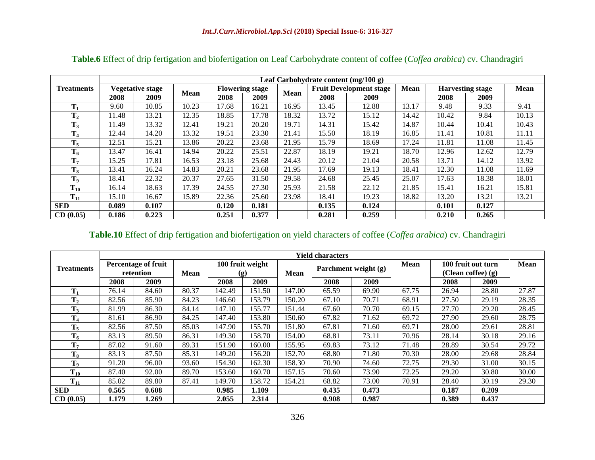|                   |       |                         |             |                        |       |             | Leaf Carbohydrate content $(mg/100 g)$ |                                |             |       |                         |             |
|-------------------|-------|-------------------------|-------------|------------------------|-------|-------------|----------------------------------------|--------------------------------|-------------|-------|-------------------------|-------------|
| <b>Treatments</b> |       | <b>Vegetative stage</b> |             | <b>Flowering stage</b> |       | <b>Mean</b> |                                        | <b>Fruit Development stage</b> | <b>Mean</b> |       | <b>Harvesting stage</b> | <b>Mean</b> |
|                   | 2008  | 2009                    | <b>Mean</b> | 2008                   | 2009  |             | 2008                                   | 2009                           |             | 2008  | 2009                    |             |
| m                 | 9.60  | 10.85                   | 10.23       | 17.68                  | 16.21 | 16.95       | 13.45                                  | 12.88                          | 13.17       | 9.48  | 9.33                    | 9.41        |
| $T_2$             | 11.48 | 13.21                   | 12.35       | 18.85                  | 17.78 | 18.32       | 13.72                                  | 15.12                          | 14.42       | 10.42 | 9.84                    | 10.13       |
| $\mathbf{T}_3$    | 11.49 | 13.32                   | 12.41       | 19.21                  | 20.20 | 19.71       | 14.31                                  | 15.42                          | 14.87       | 10.44 | 10.41                   | 10.43       |
| T<br>l 4          | 12.44 | 14.20                   | 13.32       | 19.51                  | 23.30 | 21.41       | 15.50                                  | 18.19                          | 16.85       | 11.41 | 10.81                   | 11.11       |
| $T_5$             | 12.51 | 15.21                   | 13.86       | 20.22                  | 23.68 | 21.95       | 15.79                                  | 18.69                          | 17.24       | 11.81 | 11.08                   | 11.45       |
| $T_6$             | 13.47 | 16.41                   | 14.94       | 20.22                  | 25.51 | 22.87       | 18.19                                  | 19.21                          | 18.70       | 12.96 | 12.62                   | 12.79       |
| T <sub>7</sub>    | 15.25 | 17.81                   | 16.53       | 23.18                  | 25.68 | 24.43       | 20.12                                  | 21.04                          | 20.58       | 13.71 | 14.12                   | 13.92       |
| $T_8$             | 13.41 | 16.24                   | 14.83       | 20.21                  | 23.68 | 21.95       | 17.69                                  | 19.13                          | 18.41       | 12.30 | 11.08                   | 11.69       |
| $\mathbf{T}_9$    | 18.41 | 22.32                   | 20.37       | 27.65                  | 31.50 | 29.58       | 24.68                                  | 25.45                          | 25.07       | 17.63 | 18.38                   | 18.01       |
| $T_{10}$          | 16.14 | 18.63                   | 17.39       | 24.55                  | 27.30 | 25.93       | 21.58                                  | 22.12                          | 21.85       | 15.41 | 16.21                   | 15.81       |
| $T_{11}$          | 15.10 | 16.67                   | 15.89       | 22.36                  | 25.60 | 23.98       | 18.41                                  | 19.23                          | 18.82       | 13.20 | 13.21                   | 13.21       |
| <b>SED</b>        | 0.089 | 0.107                   |             | 0.120                  | 0.181 |             | 0.135                                  | 0.124                          |             | 0.101 | 0.127                   |             |
| CD(0.05)          | 0.186 | 0.223                   |             | 0.251                  | 0.377 |             | 0.281                                  | 0.259                          |             | 0.210 | 0.265                   |             |

**Table.6** Effect of drip fertigation and biofertigation on Leaf Carbohydrate content of coffee (*Coffea arabica*) cv. Chandragiri

## **Table.10** Effect of drip fertigation and biofertigation on yield characters of coffee (*Coffea arabica*) cv. Chandragiri

|                   |       |                            |       |        |                  |             | <b>Yield characters</b> |                      |             |       |                    |             |
|-------------------|-------|----------------------------|-------|--------|------------------|-------------|-------------------------|----------------------|-------------|-------|--------------------|-------------|
| <b>Treatments</b> |       | <b>Percentage of fruit</b> |       |        | 100 fruit weight |             |                         | Parchment weight (g) | <b>Mean</b> |       | 100 fruit out turn | <b>Mean</b> |
|                   |       | retention                  | Mean  |        | (g)              | <b>Mean</b> |                         |                      |             |       | (Clean coffee) (g) |             |
|                   | 2008  | 2009                       |       | 2008   | 2009             |             | 2008                    | 2009                 |             | 2008  | 2009               |             |
| $T_1$             | 76.14 | 84.60                      | 80.37 | 142.49 | 151.50           | 147.00      | 65.59                   | 69.90                | 67.75       | 26.94 | 28.80              | 27.87       |
| $T_2$             | 82.56 | 85.90                      | 84.23 | 146.60 | 153.79           | 150.20      | 67.10                   | 70.71                | 68.91       | 27.50 | 29.19              | 28.35       |
| $T_3$             | 81.99 | 86.30                      | 84.14 | 147.10 | 155.77           | 151.44      | 67.60                   | 70.70                | 69.15       | 27.70 | 29.20              | 28.45       |
| $T_4$             | 81.61 | 86.90                      | 84.25 | 147.40 | 153.80           | 150.60      | 67.82                   | 71.62                | 69.72       | 27.90 | 29.60              | 28.75       |
| $T_5$             | 82.56 | 87.50                      | 85.03 | 147.90 | 155.70           | 151.80      | 67.81                   | 71.60                | 69.71       | 28.00 | 29.61              | 28.81       |
| $T_6$             | 83.13 | 89.50                      | 86.31 | 149.30 | 158.70           | 154.00      | 68.81                   | 73.11                | 70.96       | 28.14 | 30.18              | 29.16       |
| T <sub>7</sub>    | 87.02 | 91.60                      | 89.31 | 151.90 | 160.00           | 155.95      | 69.83                   | 73.12                | 71.48       | 28.89 | 30.54              | 29.72       |
| $T_8$             | 83.13 | 87.50                      | 85.31 | 149.20 | 156.20           | 152.70      | 68.80                   | 71.80                | 70.30       | 28.00 | 29.68              | 28.84       |
| $\mathbf{T}_9$    | 91.20 | 96.00                      | 93.60 | 154.30 | 162.30           | 158.30      | 70.90                   | 74.60                | 72.75       | 29.30 | 31.00              | 30.15       |
| $T_{10}$          | 87.40 | 92.00                      | 89.70 | 153.60 | 160.70           | 157.15      | 70.60                   | 73.90                | 72.25       | 29.20 | 30.80              | 30.00       |
| $T_{11}$          | 85.02 | 89.80                      | 87.41 | 149.70 | 158.72           | 154.21      | 68.82                   | 73.00                | 70.91       | 28.40 | 30.19              | 29.30       |
| <b>SED</b>        | 0.565 | 0.608                      |       | 0.985  | 1.109            |             | 0.435                   | 0.473                |             | 0.187 | 0.209              |             |
| CD(0.05)          | 1.179 | 1.269                      |       | 2.055  | 2.314            |             | 0.908                   | 0.987                |             | 0.389 | 0.437              |             |